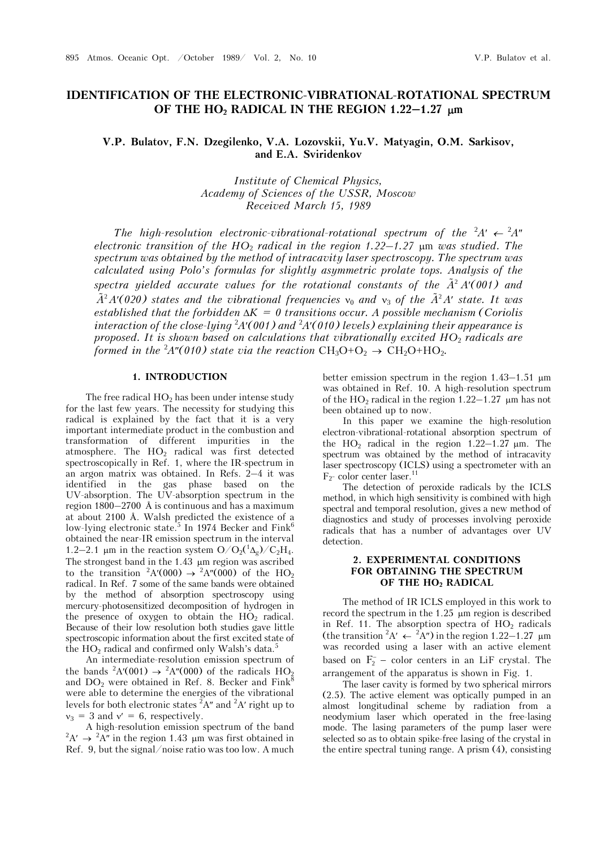# **IDENTIFICATION OF THE ELECTRONIC-VIBRATIONAL-ROTATIONAL SPECTRUM OF THE HO2 RADICAL IN THE REGION 1.22–1.27 m**

V.P. Bulatov, F.N. Dzegilenko, V.A. Lozovskii, Yu.V. Matyagin, O.M. Sarkisov, **and E.A. Sviridenkov** 

> *Institute of Chemical Physics, Academy of Sciences of the USSR, Moscow Received March 15, 1989*

*The high-resolution electronic-vibrational-rotational spectrum of the*  ${}^{2}A' \leftarrow {}^{2}A''$ *electronic transition of the HO*2 *radical in the region 1.22–1.27* m *was studied. The spectrum was obtained by the method of intracavity laser spectroscopy. The spectrum was calculated using Polo's formulas for slightly asymmetric prolate tops. Analysis of the*  spectra yielded accurate values for the rotational constants of the  $\tilde{A}^2 A'(001)$  and  $\tilde{A}^2 A'$  (020) states and the vibrational frequencies  $v_0$  and  $v_3$  of the  $\tilde{A}^2 A'$  state. It was established that the forbidden  $\Delta K = 0$  transitions occur. A possible mechanism (Coriolis *interaction of the close-lying* <sup>2</sup> *A(001) and* <sup>2</sup> *A(010) levels) explaining their appearance is proposed. It is shown based on calculations that vibrationally excited HO*2 *radicals are formed in the*  ${}^{2}A''(010)$  *state via the reaction*  $CH_3O+O_2 \rightarrow CH_2O+HO_2$ *.* 

### **1. INTRODUCTION**

The free radical  $HO<sub>2</sub>$  has been under intense study for the last few years. The necessity for studying this radical is explained by the fact that it is a very important intermediate product in the combustion and transformation of different impurities in the atmosphere. The  $HO<sub>2</sub>$  radical was first detected spectroscopically in Ref. 1, where the IR-spectrum in an argon matrix was obtained. In Refs. 2–4 it was identified in the gas phase based on the UV-absorption. The UV-absorption spectrum in the region 1800–2700 Å is continuous and has a maximum at about 2100 Å. Walsh predicted the existence of a low-lying electronic state.<sup>5</sup> In 1974 Becker and  $Fink^6$ obtained the near-IR emission spectrum in the interval 1.2–2.1 µm in the reaction system  $O/O_2(^1\Delta_g)/C_2H_4$ . The strongest band in the  $1.43 \mu m$  region was ascribed to the transition  ${}^2A'(000) \rightarrow {}^2A''(000)$  of the HO<sub>2</sub> radical. In Ref. 7 some of the same bands were obtained by the method of absorption spectroscopy using mercury-photosensitized decomposition of hydrogen in the presence of oxygen to obtain the  $HO<sub>2</sub>$  radical. Because of their low resolution both studies gave little spectroscopic information about the first excited state of the  $HO_2$  radical and confirmed only Walsh's data.<sup>5</sup>

An intermediate-resolution emission spectrum of the bands <sup>2</sup>A'(001)  $\rightarrow$  <sup>2</sup>A''(000) of the radicals HO<sub>2</sub> and  $DO<sub>2</sub>$  were obtained in Ref. 8. Becker and Fink<sup>8</sup> were able to determine the energies of the vibrational levels for both electronic states  ${}^{2}A''$  and  ${}^{2}A'$  right up to  $v_3 = 3$  and  $v' = 6$ , respectively.

A high-resolution emission spectrum of the band  $A' \rightarrow {}^{2}A''$  in the region 1.43 µm was first obtained in Ref. 9, but the signal/noise ratio was too low. A much

better emission spectrum in the region  $1.43-1.51 \mu m$ was obtained in Ref. 10. A high-resolution spectrum of the  $HO_2$  radical in the region 1.22–1.27  $\mu$ m has not been obtained up to now.

In this paper we examine the high-resolution electron-vibrational-rotational absorption spectrum of the  $HO_2$  radical in the region 1.22–1.27  $\mu$ m. The spectrum was obtained by the method of intracavity laser spectroscopy (ICLS) using a spectrometer with an  $F_2$ - color center laser.<sup>11</sup>

The detection of peroxide radicals by the ICLS method, in which high sensitivity is combined with high spectral and temporal resolution, gives a new method of diagnostics and study of processes involving peroxide radicals that has a number of advantages over UV detection.

### **2. EXPERIMENTAL CONDITIONS FOR OBTAINING THE SPECTRUM OF THE HO2 RADICAL**

The method of IR ICLS employed in this work to record the spectrum in the 1.25 um region is described in Ref. 11. The absorption spectra of  $HO<sub>2</sub>$  radicals (the transition <sup>2</sup>A'  $\leftarrow$  <sup>2</sup>A'') in the region 1.22–1.27  $\,\mu$ m was recorded using a laser with an active element based on  $F_2^-$  - color centers in an LiF crystal. The arrangement of the apparatus is shown in Fig. 1.

The laser cavity is formed by two spherical mirrors (2.5). The active element was optically pumped in an almost longitudinal scheme by radiation from a neodymium laser which operated in the free-lasing mode. The lasing parameters of the pump laser were selected so as to obtain spike-free lasing of the crystal in the entire spectral tuning range. A prism (4), consisting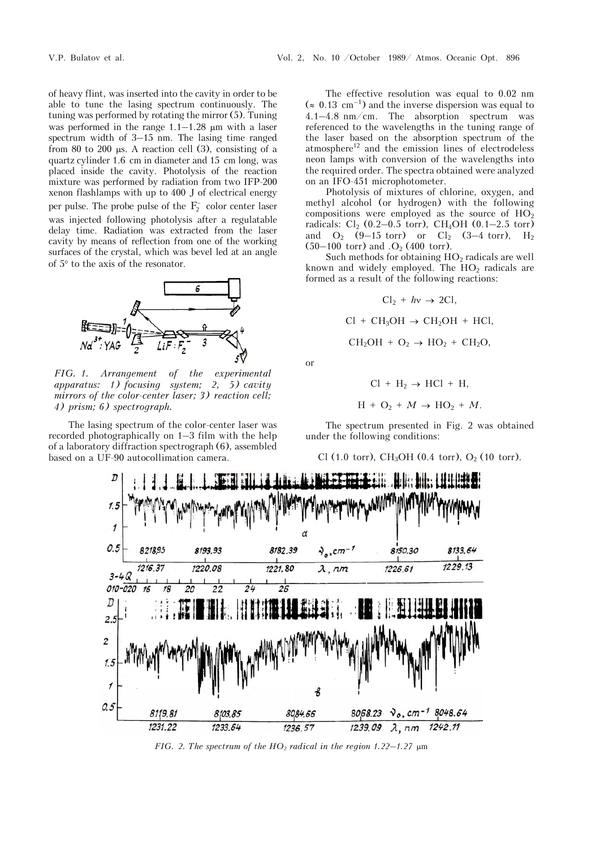of heavy flint, was inserted into the cavity in order to be able to tune the lasing spectrum continuously. The tuning was performed by rotating the mirror (5). Tuning was performed in the range  $1.1-1.28$  µm with a laser spectrum width of 3–15 nm. The lasing time ranged from 80 to 200  $\mu$ s. A reaction cell (3), consisting of a quartz cylinder 1.6 cm in diameter and 15 cm long, was placed inside the cavity. Photolysis of the reaction mixture was performed by radiation from two IFP-200 xenon flashlamps with up to 400 J of electrical energy per pulse. The probe pulse of the  $F_2^-$  color center laser was injected following photolysis after a regulatable delay time. Radiation was extracted from the laser cavity by means of reflection from one of the working surfaces of the crystal, which was bevel led at an angle of  $5^{\circ}$  to the axis of the resonator.



*FIG. 1. Arrangement of the experimental apparatus: 1) focusing system; 2, 5) cavity mirrors of the color-center laser; 3) reaction cell; 4) prism; 6) spectrograph.*

The lasing spectrum of the color-center laser was recorded photographically on 1–3 film with the help of a laboratory diffraction spectrograph (6), assembled based on a UF-90 autocollimation camera.

The effective resolution was equal to 0.02 nm  $(\approx 0.13 \text{ cm}^{-1})$  and the inverse dispersion was equal to 4.1–4.8 nm/cm. The absorption spectrum was referenced to the wavelengths in the tuning range of the laser based on the absorption spectrum of the  $atmosphere<sup>12</sup>$  and the emission lines of electrodeless neon lamps with conversion of the wavelengths into the required order. The spectra obtained were analyzed on an IFO-451 microphotometer.

Photolysis of mixtures of chlorine, oxygen, and methyl alcohol (or hydrogen) with the following compositions were employed as the source of  $HO<sub>2</sub>$ radicals:  $Cl_2$  (0.2–0.5 torr), CH<sub>4</sub>OH (0.1–2.5 torr) and  $O_2$  (9-15 torr) or  $Cl_2$  (3-4 torr), H<sub>2</sub>  $(50-100 \text{ torr})$  and .O<sub>2</sub> (400 torr).

Such methods for obtaining  $HO<sub>2</sub>$  radicals are well known and widely employed. The  $HO<sub>2</sub>$  radicals are formed as a result of the following reactions:

$$
Cl_2 + hv \rightarrow 2Cl,
$$
  
Cl + CH<sub>3</sub>OH  $\rightarrow$  CH<sub>2</sub>OH + HCl,  
CH<sub>2</sub>OH + O<sub>2</sub>  $\rightarrow$  HO<sub>2</sub> + CH<sub>2</sub>O,

or

$$
Cl + H_2 \rightarrow HCl + H,
$$

$$
H + O_2 + M \rightarrow HO_2 + M.
$$

The spectrum presented in Fig. 2 was obtained under the following conditions:

Cl (1.0 torr), CH<sub>3</sub>OH (0.4 torr), O<sub>2</sub> (10 torr).



*FIG. 2. The spectrum of the HO<sub>2</sub> radical in the region 1.22–1.27*  $\mu$ m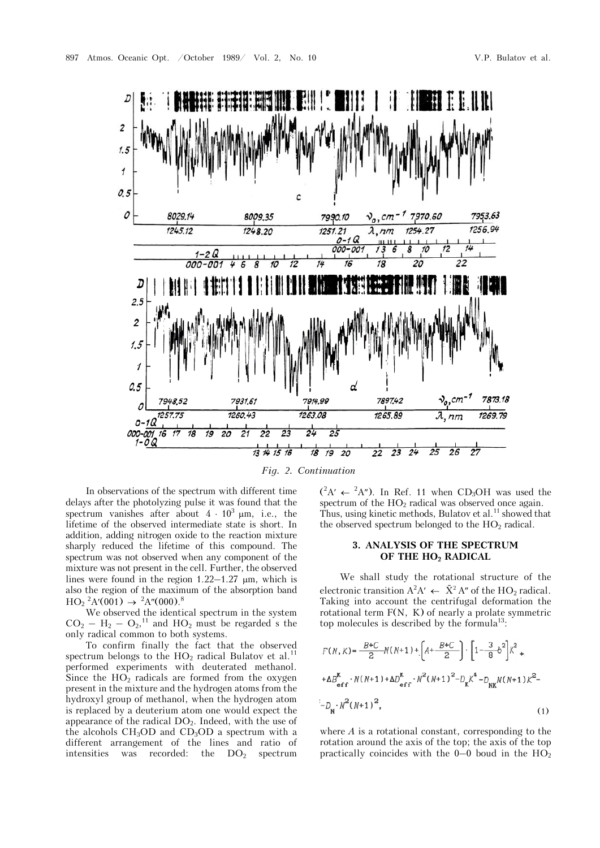

*Fig. 2. Continuation* 

In observations of the spectrum with different time delays after the photolyzing pulse it was found that the spectrum vanishes after about  $4 \cdot 10^3$  µm, i.e., the lifetime of the observed intermediate state is short. In addition, adding nitrogen oxide to the reaction mixture sharply reduced the lifetime of this compound. The spectrum was not observed when any component of the mixture was not present in the cell. Further, the observed lines were found in the region  $1.22-1.27$  µm, which is also the region of the maximum of the absorption band  $HO_2^2 A'(001) \rightarrow {}^2A''(000).8$ 

We observed the identical spectrum in the system  $CO<sub>2</sub> - H<sub>2</sub> - O<sub>2</sub>$ ,<sup>11</sup> and HO<sub>2</sub> must be regarded s the only radical common to both systems.

To confirm finally the fact that the observed spectrum belongs to the  $HO<sub>2</sub>$  radical Bulatov et al.<sup>11</sup> performed experiments with deuterated methanol. Since the  $HO<sub>2</sub>$  radicals are formed from the oxygen present in the mixture and the hydrogen atoms from the hydroxyl group of methanol, when the hydrogen atom is replaced by a deuterium atom one would expect the appearance of the radical  $DO<sub>2</sub>$ . Indeed, with the use of the alcohols  $CH<sub>3</sub>OD$  and  $CD<sub>3</sub>OD$  a spectrum with a different arrangement of the lines and ratio of intensities was recorded: the  $DO<sub>2</sub>$  spectrum

 $(^{2}A' \leftarrow {}^{2}A'')$ . In Ref. 11 when CD<sub>3</sub>OH was used the spectrum of the  $HO<sub>2</sub>$  radical was observed once again. Thus, using kinetic methods, Bulatov et al.<sup>11</sup> showed that the observed spectrum belonged to the  $HO<sub>2</sub>$  radical.

## **3. ANALYSIS OF THE SPECTRUM OF THE HO2 RADICAL**

We shall study the rotational structure of the electronic transition  $A^2A' \leftarrow \tilde{X}^2 A''$  of the HO<sub>2</sub> radical. Taking into account the centrifugal deformation the rotational term  $F(N, K)$  of nearly a prolate symmetric top molecules is described by the formula<sup>13</sup>:

$$
F(N, K) = \frac{B+C}{2} N(N+1) + \left[ A + \frac{B+C}{2} \right] \cdot \left[ 1 - \frac{3}{8} \delta^2 \right] K^2 +
$$
  
+ 
$$
\Delta B_{eff}^{K} \cdot N(N+1) + \Delta D_{eff}^{K} \cdot N^2 (N+1)^2 - D_K K^4 - D_{NK} N(N+1) K^2 -
$$
  
- 
$$
D_N \cdot N^2 (N+1)^2,
$$
 (1)

where *A* is a rotational constant, corresponding to the rotation around the axis of the top; the axis of the top practically coincides with the  $0-0$  boud in the  $HO<sub>2</sub>$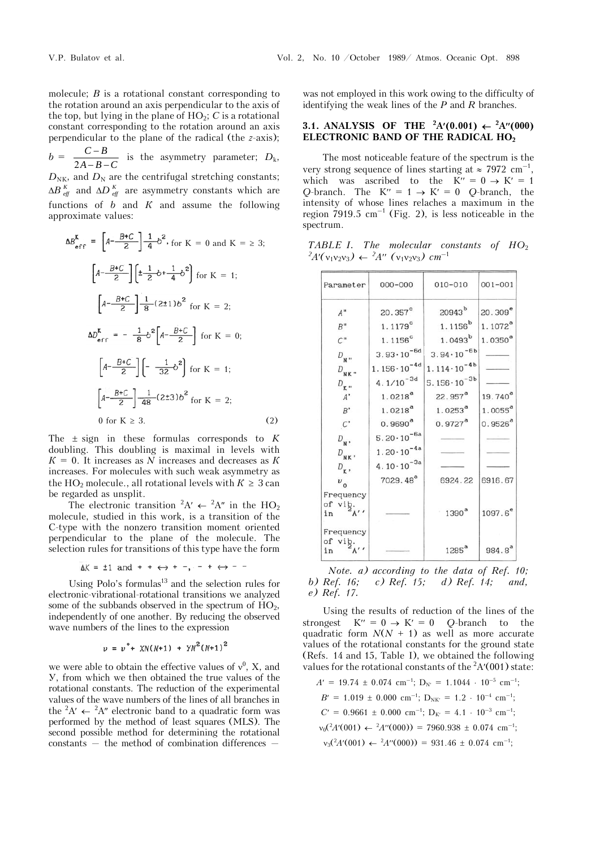molecule; *Â* is a rotational constant corresponding to the rotation around an axis perpendicular to the axis of the top, but lying in the plane of  $HO_2$ ;  $C$  is a rotational constant corresponding to the rotation around an axis perpendicular to the plane of the radical (the *z*-axis);  $b = \frac{C - B}{2A - B}$  $A - B - C$  $\frac{C-B}{-B-C}$  is the asymmetry parameter;  $D_k$ ,  $D_{\text{NK}}$ , and  $D_{\text{N}}$  are the centrifugal stretching constants;  $\Delta B$ <sup>K</sup><sub>eff</sub> and  $\Delta D$ <sup>K</sup><sub>eff</sub> are asymmetry constants which are functions of  $b$  and  $K$  and assume the following approximate values:

$$
\Delta B_{\text{eff}}^{K} = \left[A - \frac{B+C}{2}\right] \frac{1}{4} b^2, \text{ for } K = 0 \text{ and } K = \ge 3;
$$
  

$$
\left[A - \frac{B+C}{2}\right] \left[\pm \frac{1}{2} b + \frac{1}{4} b^2\right] \text{ for } K = 1;
$$
  

$$
\left[A - \frac{B+C}{2}\right] \frac{1}{8} (2 \pm 1) b^2 \text{ for } K = 2;
$$
  

$$
\Delta D_{\text{eff}}^{K} = -\frac{1}{8} b^2 \left[A - \frac{B+C}{2}\right] \text{ for } K = 0;
$$
  

$$
\left[A - \frac{B+C}{2}\right] \left[-\frac{1}{32} b^2\right] \text{ for } K = 1;
$$
  

$$
\left[A - \frac{B+C}{2}\right] \frac{1}{48} (2 \pm 3) b^2 \text{ for } K = 2;
$$
  
0 for  $K \ge 3.$  (2)

The  $\pm$  sign in these formulas corresponds to  $K$ doubling. This doubling is maximal in levels with  $K = 0$ . It increases as *N* increases and decreases as *K* increases. For molecules with such weak asymmetry as the HO<sub>2</sub> molecule., all rotational levels with  $K \geq 3$  can be regarded as unsplit.

The electronic transition <sup>2</sup>A'  $\leftarrow$  <sup>2</sup>A" in the HO<sub>2</sub> molecule, studied in this work, is a transition of the C-type with the nonzero transition moment oriented perpendicular to the plane of the molecule. The selection rules for transitions of this type have the form

$$
\Delta K = \pm 1
$$
 and  $+\div \leftrightarrow +-, - + \leftrightarrow -$ 

Using Polo's formulas $^{13}$  and the selection rules for electronic-vibrational-rotational transitions we analyzed some of the subbands observed in the spectrum of  $HO<sub>2</sub>$ , independently of one another. By reducing the observed wave numbers of the lines to the expression

$$
v = v^{\circ} + \chi N(N+1) + \gamma N^2 (N+1)^2
$$

we were able to obtain the effective values of  $v^0$ , X, and Y, from which we then obtained the true values of the rotational constants. The reduction of the experimental values of the wave numbers of the lines of all branches in the <sup>2</sup>A'  $\leftarrow$  <sup>2</sup>A'' electronic band to a quadratic form was performed by the method of least squares (MLS). The second possible method for determining the rotational constants — the method of combination differences —

was not employed in this work owing to the difficulty of identifying the weak lines of the *P* and *R* branches.

## **3.1. ANALYSIS OF THE <sup>2</sup>A'(0.001)**  $\leftarrow$  **<sup>2</sup>A''(000) ELECTRONIC BAND OF THE RADICAL HO2**

The most noticeable feature of the spectrum is the very strong sequence of lines starting at  $\approx 7972 \text{ cm}^{-1}$ , which was ascribed to the K'' =  $0 \rightarrow K' = 1$ *Q*-branch. The  $K'' = 1 \rightarrow K' = 0$  *Q*-branch, the intensity of whose lines relaches a maximum in the region  $7919.5 \text{ cm}^{-1}$  (Fig. 2), is less noticeable in the spectrum.

*TABLE I. The molecular constants of HO*<sub>2</sub>  $A'(v_1v_2v_3) \leftarrow {}^2A''(v_1v_2v_3)$  cm<sup>-1</sup>

| Parameter                                               | $000 - 000$            | $010 - 010$                     | $001 - 001$  |
|---------------------------------------------------------|------------------------|---------------------------------|--------------|
| $A$ "                                                   | 20.357 <sup>c</sup>    | $20943^{b}$                     | $20.309^{e}$ |
| $B^{\,\prime\prime}$                                    | $1.1179$ <sup>c</sup>  | 1.1156 <sup>b</sup>             | $1.1072^{a}$ |
| C <sup>II</sup>                                         | $1.1156$ <sup>c</sup>  | $1.0493^{b}$                    | $1.0350^{a}$ |
| $D_{N}$                                                 | $3.93 \cdot 10^{-6d}$  | $3.94 \cdot 10^{-6b}$           |              |
| $D_{\mathbf{N}\mathbf{K}}$ "                            | $1.156 \cdot 10^{-4d}$ | $1.114 \cdot 10^{-4b}$          |              |
| $D_{\mathbf{K}}$ .                                      | $4.1/10^{-3d}$         | 5.156 $\cdot$ 10 <sup>-3b</sup> |              |
| $A^*$                                                   | $1.0218^{a}$           | $22.957^a$                      | $19.740^{a}$ |
| $B^\prime$                                              | $1.0218^{a}$           | $1.0253^{a}$                    | $1.0055^{a}$ |
| $\boldsymbol{\mathcal{C}}$                              | $0.9690^{a}$           | $0.9727$ <sup>a</sup>           | $0.9526^{a}$ |
| $D_{N}$ ,                                               | $5.20 \cdot 10^{-6a}$  |                                 |              |
| $D_{\rm NK}$ ,                                          | $1.20 \cdot 10^{-4a}$  |                                 |              |
| $D_{\bf K}$ ,                                           | $4.10 \cdot 10^{-3a}$  |                                 |              |
| $v_{0}$                                                 | 7029.48 <sup>ª</sup>   | 6924.22                         | 6916.67      |
| Frequency                                               |                        |                                 |              |
| $\begin{bmatrix} 1 & 1 \\ 0 & 1 \\ 2 & 1 \end{bmatrix}$ |                        | 1390 <sup>a</sup>               | $1097.6^{e}$ |
| Frequency<br>From $\frac{1}{2}$ of vib.                 |                        | 1285 <sup>a</sup>               | $984.8^{a}$  |

*Note. a) according to the data of Ref. 10; b) Ref. 16; c) Ref. 15; d) Ref. 14; and, e) Ref. 17.* 

Using the results of reduction of the lines of the strongest  $K'' = 0 \rightarrow K' = 0$  Q-branch to the quadratic form  $N(N + 1)$  as well as more accurate values of the rotational constants for the ground state (Refs. 14 and 15, Table I), we obtained the following values for the rotational constants of the  ${}^{2}A'(001)$  state:

$$
A' = 19.74 \pm 0.074 \text{ cm}^{-1}; \text{ D}_{N'} = 1.1044 \cdot 10^{-5} \text{ cm}^{-1};
$$
  
\n
$$
B' = 1.019 \pm 0.000 \text{ cm}^{-1}; \text{ D}_{N K'} = 1.2 \cdot 10^{-4} \text{ cm}^{-1};
$$
  
\n
$$
C' = 0.9661 \pm 0.000 \text{ cm}^{-1}; \text{ D}_{K'} = 4.1 \cdot 10^{-3} \text{ cm}^{-1};
$$
  
\n
$$
\nu_0(^2A'(001) \leftarrow {}^{2}A''(000)) = 7960.938 \pm 0.074 \text{ cm}^{-1};
$$
  
\n
$$
\nu_3(^2A'(001) \leftarrow {}^{2}A''(000)) = 931.46 \pm 0.074 \text{ cm}^{-1};
$$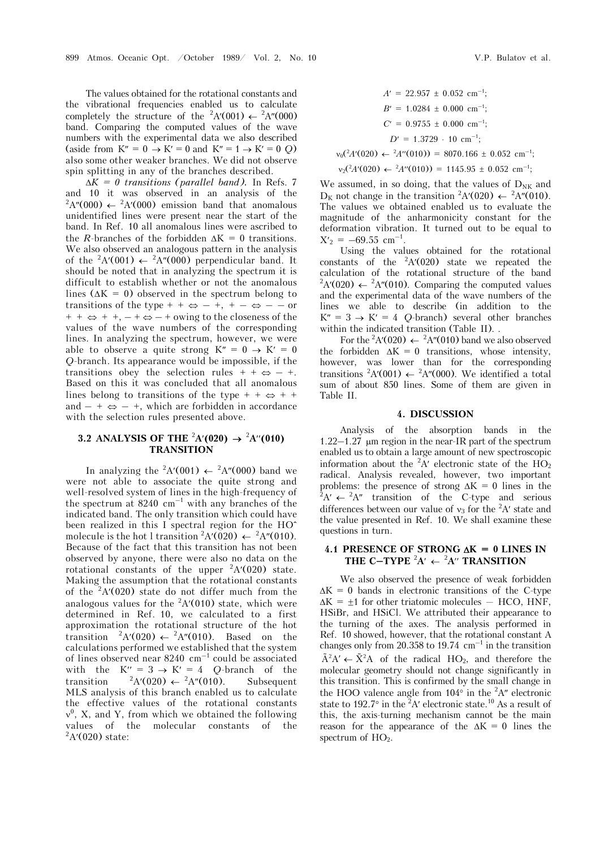The values obtained for the rotational constants and the vibrational frequencies enabled us to calculate completely the structure of the <sup>2</sup>A'(001)  $\leftarrow$  <sup>2</sup>A''(000) band. Comparing the computed values of the wave numbers with the experimental data we also described (aside from  $K'' = 0 \rightarrow K' = 0$  and  $K'' = 1 \rightarrow K' = 0$  Q) also some other weaker branches. We did not observe spin splitting in any of the branches described.

 $\Delta K = 0$  transitions (parallel band). In Refs. 7 and 10 it was observed in an analysis of the  ${}^2A''(000) \leftarrow {}^2A'(000)$  emission band that anomalous unidentified lines were present near the start of the band. In Ref. 10 all anomalous lines were ascribed to the *R*-branches of the forbidden  $\Delta K = 0$  transitions. We also observed an analogous pattern in the analysis of the  ${}^{2}A'(001) \leftarrow {}^{2}A''(000)$  perpendicular band. It should be noted that in analyzing the spectrum it is difficult to establish whether or not the anomalous lines ( $\Delta K = 0$ ) observed in the spectrum belong to transitions of the type + +  $\Leftrightarrow$  - +, + -  $\Leftrightarrow$  - - or  $+ + \Leftrightarrow$  +  $+$ ,  $- + \Leftrightarrow$   $- +$  owing to the closeness of the values of the wave numbers of the corresponding lines. In analyzing the spectrum, however, we were able to observe a quite strong  $K'' = 0 \rightarrow K' = 0$ *Q*-branch. Its appearance would be impossible, if the transitions obey the selection rules  $+ + \Leftrightarrow - +$ . Based on this it was concluded that all anomalous lines belong to transitions of the type  $+ + \Leftrightarrow + +$ and  $- + \Leftrightarrow - +$ , which are forbidden in accordance with the selection rules presented above.

### **3.2 ANALYSIS OF THE <sup>2</sup>A'(020)**  $\rightarrow$  **<sup>2</sup>A''(010) TRANSITION**

In analyzing the <sup>2</sup>A'(001)  $\leftarrow$  <sup>2</sup>A''(000) band we were not able to associate the quite strong and well-resolved system of lines in the high-frequency of the spectrum at 8240  $\text{cm}^{-1}$  with any branches of the indicated band. The only transition which could have been realized in this I spectral region for the HO^ molecule is the hot 1 transition <sup>2</sup>A'(020)  $\leftarrow$  <sup>2</sup>A''(010). Because of the fact that this transition has not been observed by anyone, there were also no data on the rotational constants of the upper  ${}^{2}A'(020)$  state. Making the assumption that the rotational constants of the  ${}^{2}A'(020)$  state do not differ much from the analogous values for the  ${}^{2}A'(010)$  state, which were determined in Ref. 10, we calculated to a first approximation the rotational structure of the hot transition  ${}^{2}A'(020) \leftarrow {}^{2}A''(010)$ . Based on the calculations performed we established that the system of lines observed near  $8240 \text{ cm}^{-1}$  could be associated with the  $K'' = 3 \rightarrow K' = 4$  O-branch of the transition <sup>2</sup>  ${}^{2}A'(020) \leftarrow {}^{2}A''(010)$ . Subsequent. MLS analysis of this branch enabled us to calculate the effective values of the rotational constants  $v^0$ , X, and Y, from which we obtained the following values of the molecular constants of the  $A'(020)$  state:

$$
A' = 22.957 \pm 0.052 \text{ cm}^{-1};
$$
  
\n
$$
B' = 1.0284 \pm 0.000 \text{ cm}^{-1};
$$
  
\n
$$
C' = 0.9755 \pm 0.000 \text{ cm}^{-1};
$$
  
\n
$$
D' = 1.3729 \cdot 10 \text{ cm}^{-1};
$$

 $v_0(^2A'(020) \leftarrow {}^2A''(010)) = 8070.166 \pm 0.052$  cm<sup>-1</sup>;

$$
v_2(^2A'(020) \leftarrow {}^2A''(010)) = 1145.95 \pm 0.052
$$
 cm<sup>-1</sup>;

We assumed, in so doing, that the values of  $D_{NK}$  and  $D_K$  not change in the transition <sup>2</sup>A'(020)  $\leftarrow$  <sup>2</sup>A''(010). The values we obtained enabled us to evaluate the magnitude of the anharmonicity constant for the deformation vibration. It turned out to be equal to  $X'_2 = -69.55$  cm<sup>-1</sup>.

Using the values obtained for the rotational constants of the  ${}^{2}A'(020)$  state we repeated the calculation of the rotational structure of the band  ${}^2A'(020) \leftarrow {}^2A''(010)$ . Comparing the computed values and the experimental data of the wave numbers of the lines we able to describe (in addition to the  $K'' = 3 \rightarrow K' = 4$  Q-branch) several other branches within the indicated transition (Table II). .

For the <sup>2</sup>A'(020)  $\leftarrow$  <sup>2</sup>A''(010) band we also observed the forbidden  $\Delta K = 0$  transitions, whose intensity, however, was lower than for the corresponding transitions <sup>2</sup>A'(001)  $\leftarrow$  <sup>2</sup>A''(000). We identified a total sum of about 850 lines. Some of them are given in Table II.

#### **4. DISCUSSION**

Analysis of the absorption bands in the 1.22–1.27  $\mu$ m region in the near-IR part of the spectrum enabled us to obtain a large amount of new spectroscopic information about the  ${}^{2}A'$  electronic state of the  $HO_2$ radical. Analysis revealed, however, two important problems: the presence of strong  $\Delta K = 0$  lines in the  $A' \leftarrow {}^{2}A''$  transition of the C-type and serious differences between our value of  $v_3$  for the <sup>2</sup>A' state and the value presented in Ref. 10. We shall examine these questions in turn.

# **4.1 PRESENCE OF STRONG K = 0 LINES IN THE C-TYPE**  ${}^2A' \leftarrow {}^2A''$  **TRANSITION**

We also observed the presence of weak forbidden  $\Delta K = 0$  bands in electronic transitions of the C-type  $\Delta K = +1$  for other triatomic molecules  $-$  HCO, HNF, HSiBr, and HSiCl. We attributed their appearance to the turning of the axes. The analysis performed in Ref. 10 showed, however, that the rotational constant A changes only from 20.358 to 19.74  $\text{cm}^{-1}$  in the transition  $\tilde{A}^2 A' \leftarrow \tilde{X}^2 A$  of the radical HO<sub>2</sub>, and therefore the molecular geometry should not change significantly in this transition. This is confirmed by the small change in the HOO valence angle from  $104^{\circ}$  in the  $2$ A" electronic state to 192.7° in the <sup>2</sup>A' electronic state.<sup>10</sup> As a result of this, the axis-turning mechanism cannot be the main reason for the appearance of the  $\Delta K = 0$  lines the spectrum of  $HO<sub>2</sub>$ .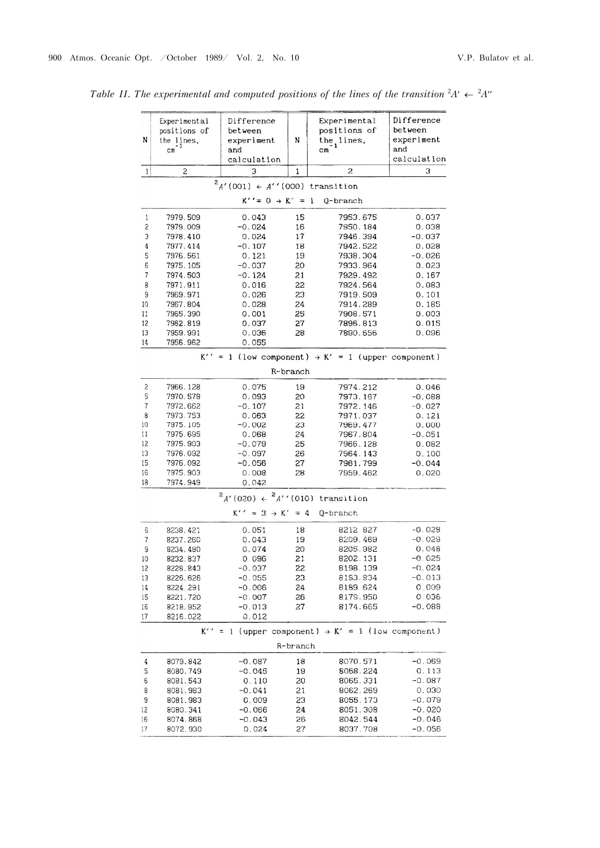| N                        | Experimental<br>positions of<br>the lines,<br>cm | Difference<br>between<br>experiment<br>and<br>calculation | N           | Experimental<br>positions of<br>the lines,<br>$\frac{1}{2}$     | Difference<br>between<br>experiment<br>and<br>calculation |
|--------------------------|--------------------------------------------------|-----------------------------------------------------------|-------------|-----------------------------------------------------------------|-----------------------------------------------------------|
| $\mathbf{1}$             | $\overline{c}$                                   | 3                                                         | $\mathbf 1$ | $\overline{c}$                                                  | З                                                         |
|                          |                                                  | $^{2}A'(001) \leftarrow A''(000)$ transition              |             |                                                                 |                                                           |
|                          |                                                  | $K'' = 0 \rightarrow K' = 1$                              |             | Q-branch                                                        |                                                           |
|                          |                                                  |                                                           |             |                                                                 |                                                           |
| 1<br>2                   | 7979.509                                         | 0.043                                                     | 15          | 7953.675<br>7950.184                                            | 0.037                                                     |
| 3                        | 7979.009<br>7978.410                             | $-0.024$<br>0.024                                         | 16<br>17    | 7946.394                                                        | 0.038<br>$-0.037$                                         |
| 4                        | 7977.414                                         | $-0.107$                                                  | 18          | 7942.522                                                        | 0.028                                                     |
| 5                        | 7976.561                                         | 0.121                                                     | 19          | 7938.304                                                        | $-0.026$                                                  |
| 6                        | 7975.105                                         | $-0.037$                                                  | 20          | 7933.964                                                        | 0.023                                                     |
| $\sqrt{ }$               | 7974.503                                         | $-0.124$                                                  | 21          | 7929.492                                                        | 0.167                                                     |
| 8                        | 7971.911                                         | 0.016                                                     | 22          | 7924.564                                                        | 0.083                                                     |
| 9                        | 7969.971                                         | 0.026                                                     | 23          | 7919.509                                                        | 0.101                                                     |
| 10                       | 7967.804                                         | 0.028                                                     | 24          | 7914.289                                                        | 0.185                                                     |
| 11                       | 7965.390                                         | 0.001                                                     | 25          | 7908.571                                                        | 0.003                                                     |
| 12                       | 7962.819                                         | 0.037                                                     | 27          | 7896.813                                                        | 0.015                                                     |
| 13<br>14                 | 7959.991<br>7956.962                             | 0.036<br>0.055                                            | 28          | 7890.656                                                        | 0.096                                                     |
|                          |                                                  |                                                           |             |                                                                 |                                                           |
|                          | $K'$ .                                           |                                                           |             | = 1 (low component) $\rightarrow$ K' = 1 (upper component)      |                                                           |
|                          |                                                  |                                                           | R-branch    |                                                                 |                                                           |
| 2                        | 7966.128                                         | 0.075                                                     | 19          | 7974.212                                                        | 0.046                                                     |
| 5                        | 7970.578                                         | 0.093                                                     | 20          | 7973.167                                                        | $-0.088$                                                  |
| $\overline{\mathcal{L}}$ | 7972.662                                         | $-0.107$                                                  | 21          | 7972.146                                                        | $-0.027$                                                  |
| 8                        | 7973.753                                         | 0.063                                                     | 22          | 7971.037                                                        | 0.121                                                     |
| 10                       | 7975.105                                         | $-0.002$                                                  | 23          | 7969.477                                                        | 0.000                                                     |
| 11<br>12                 | 7975.695<br>7975.903                             | 0.068<br>$-0.079$                                         | 24<br>25    | 7967.804<br>7966.128                                            | $-0.051$<br>0.082                                         |
| 13                       | 7976.092                                         | $-0.097$                                                  | 26          | 7964.143                                                        | 0.100                                                     |
| 15                       | 7976.092                                         | $-0.056$                                                  | 27          | 7961.799                                                        | $-0.044$                                                  |
| 16                       | 7975.903                                         | 0.008                                                     | 28          | 7959.462                                                        | 0.020                                                     |
| 18                       | 7974.949                                         | 0.042                                                     |             |                                                                 |                                                           |
|                          |                                                  | $^{2}$ A'(020) $\leftarrow$ $^{2}$ A''(010) transition    |             |                                                                 |                                                           |
|                          |                                                  | $K'' = 3 \rightarrow K' = 4$                              |             | Q-branch                                                        |                                                           |
| 6                        | 8238.421                                         | 0.051                                                     | 18          | 8212 827                                                        | $-0.028$                                                  |
| 7                        | 8237.260                                         | 0.043                                                     | 19          | 8209.469                                                        | $-0.029$                                                  |
| 9                        | 8234.480                                         | 0.074                                                     | 20          | 8205.982                                                        | 0.048                                                     |
| 10                       | 8232.837                                         | 0.096                                                     | 21          | 8202.131                                                        | $-0.025$                                                  |
| 12                       | 8228.843                                         | -0.037                                                    | 22          | 8198.139                                                        | $-0.024$                                                  |
| 13                       | 8226.626                                         | $-0.055$                                                  | 23          | 8193.934                                                        | $-0.013$                                                  |
| 14                       | 8224.291                                         | $-0.006$                                                  | 24          | 8189.624                                                        | 0.009                                                     |
| 15                       | 8221.720                                         | $-0.007$                                                  | 26          | 8179.950                                                        | 0.036                                                     |
| 16                       | 8218.952                                         | $-0.013$                                                  | 27          | 8174.665                                                        | $-0.088$                                                  |
| 17                       | 8216.022                                         | 0.012                                                     |             |                                                                 |                                                           |
|                          |                                                  |                                                           |             | $K' = 1$ (upper component) $\rightarrow K' = 1$ (low component) |                                                           |
|                          |                                                  |                                                           | R-branch    |                                                                 |                                                           |
| 4                        | 8079.842                                         | $-0.087$                                                  | 18          | 8070.571                                                        | $-0.069$                                                  |
| 5                        | 8080.749                                         | $-0.045$                                                  | 19          | 8068.224                                                        | 0.113                                                     |
| 6                        | 8081.543                                         | 0.110                                                     | 20          | 8065.331                                                        | $-0.087$                                                  |
| 8                        | 8081.983                                         | $-0.041$                                                  | 21          | 8062.269                                                        | 0.030                                                     |
| 9                        | 8081.983                                         | 0.009                                                     | 23          | 8055.173                                                        | $-0.079$                                                  |
| 12                       | 8080.341                                         | $-0.066$                                                  | 24          | 8051.308                                                        | $-0.020$                                                  |
| 16                       | 8074.868                                         | $-0.043$                                                  | 26          | 8042.544                                                        | -0.046                                                    |
| 17                       | 8072.930                                         | 0.024                                                     | 27          | 8037.708                                                        | $-0.056$                                                  |

Table II. The experimental and computed positions of the lines of the transition  ${}^{2}A' \leftarrow {}^{2}A''$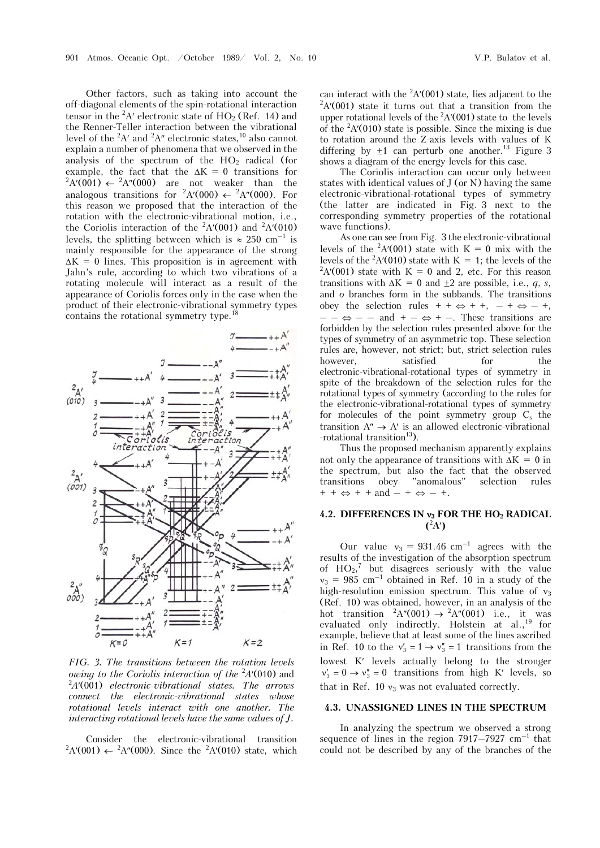Other factors, such as taking into account the off-diagonal elements of the spin-rotational interaction tensor in the  ${}^{2}A'$  electronic state of  $HO_2$  (Ref. 14) and the Renner-Teller interaction between the vibrational level of the  ${}^{2}A'$  and  ${}^{2}A''$  electronic states,<sup>10</sup> also cannot explain a number of phenomena that we observed in the analysis of the spectrum of the  $HO<sub>2</sub>$  radical (for example, the fact that the  $\Delta K = 0$  transitions for  $A'(001) \leftarrow {}^{2}A''(000)$  are not weaker than the analogous transitions for  ${}^2A'(000) \leftarrow {}^2A''(000)$ . For this reason we proposed that the interaction of the rotation with the electronic-vibrational motion, i.e., the Coriolis interaction of the  ${}^{2}A'(001)$  and  ${}^{2}A'(010)$ levels, the splitting between which is  $\approx 250 \text{ cm}^{-1}$  is mainly responsible for the appearance of the strong  $\Delta K = 0$  lines. This proposition is in agreement with Jahn's rule, according to which two vibrations of a rotating molecule will interact as a result of the appearance of Coriolis forces only in the case when the product of their electronic-vibrational symmetry types contains the rotational symmetry type.18



*FIG. 3. The transitions between the rotation levels owing to the Coriolis interaction of the <sup>2</sup>A'(010)* and <sup>2</sup> *A'(001)* algorithment and 24'(001) *A*(001) *electronic-vibrational states. The arrows connect the electronic-vibrational states whose rotational levels interact with one another. The interacting rotational levels have the same values of J.* 

Consider the electronic-vibrational transition  $A'(001) \leftarrow {}^{2}A''(000)$ . Since the  ${}^{2}A'(010)$  state, which

can interact with the <sup>2</sup>A'(001) state, lies adjacent to the  $^{2}$ A'(001) state it turns out that a transition from the  $A'(001)$  state it turns out that a transition from the upper rotational levels of the  ${}^{2}A'(001)$  state to the levels of the  ${}^{2}A'(010)$  state is possible. Since the mixing is due to rotation around the Z-axis levels with values of K differing by  $\pm 1$  can perturb one another.<sup>13</sup> Figure 3 shows a diagram of the energy levels for this case.

The Coriolis interaction can occur only between states with identical values of J (or N) having the same electronic-vibrational-rotational types of symmetry (the latter are indicated in Fig. 3 next to the corresponding symmetry properties of the rotational wave functions).

As one can see from Fig. 3 the electronic-vibrational levels of the  ${}^{2}A'(001)$  state with K = 0 mix with the levels of the <sup>2</sup>A'(010) state with K = 1; the levels of the  $\frac{2\lambda}{1001}$  state with K = 0 and 2, state For this reason  $A'(001)$  state with K = 0 and 2, etc. For this reason transitions with  $\Delta K = 0$  and  $\pm 2$  are possible, i.e., *q*, *s*, and *o* branches form in the subbands. The transitions obey the selection rules  $+ + \Leftrightarrow + +$ ,  $- + \Leftrightarrow - +$ ,  $- - \Leftrightarrow -$  and  $+ - \Leftrightarrow +$ . These transitions are forbidden by the selection rules presented above for the types of symmetry of an asymmetric top. These selection rules are, however, not strict; but, strict selection rules however, satisfied for the electronic-vibrational-rotational types of symmetry in spite of the breakdown of the selection rules for the rotational types of symmetry (according to the rules for the electronic-vibrational-rotational types of symmetry for molecules of the point symmetry group  $C_s$  the transition  $A'' \rightarrow A'$  is an allowed electronic-vibrational -rotational transition<sup>13</sup>).

Thus the proposed mechanism apparently explains not only the appearance of transitions with  $\Delta K = 0$  in the spectrum, but also the fact that the observed transitions obey "anomalous" selection rules transitions obey "anomalous" selection rules  $+ + \Leftrightarrow + +$  and  $- + \Leftrightarrow - +$ .

# **4.2. DIFFERENCES IN 3 FOR THE HO2 RADICAL**   $(2A')$

Our value  $v_3 = 931.46$  cm<sup>-1</sup> agrees with the results of the investigation of the absorption spectrum of  $HO_2$ ,<sup>7</sup> but disagrees seriously with the value  $v_3 = 985$  cm<sup>-1</sup> obtained in Ref. 10 in a study of the high-resolution emission spectrum. This value of  $v_3$ (Ref. 10) was obtained, however, in an analysis of the hot transition  ${}^{2}A''(001) \rightarrow {}^{2}A''(001)$  i.e., it was evaluated only indirectly. Holstein at  $aL$ ,  $^{19}$  for example, believe that at least some of the lines ascribed in Ref. 10 to the  $v'_3 = 1 \rightarrow v''_3 = 1$  transitions from the lowest K' levels actually belong to the stronger  $v'_3 = 0 \rightarrow v''_3 = 0$  transitions from high K' levels, so that in Ref. 10  $v_3$  was not evaluated correctly.

### **4.3. UNASSIGNED LINES IN THE SPECTRUM**

In analyzing the spectrum we observed a strong sequence of lines in the region  $7917-7927$   $\text{cm}^{-1}$  that could not be described by any of the branches of the